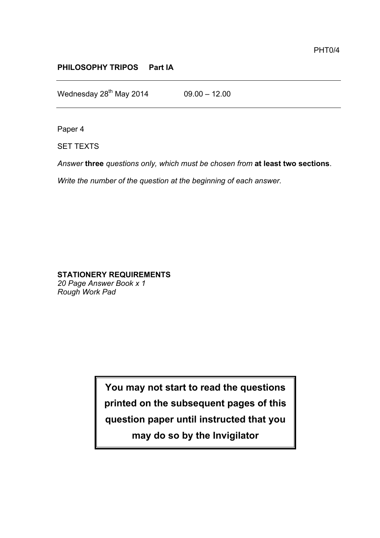## **PHILOSOPHY TRIPOS Part IA**

Wednesday  $28^{th}$  May 2014 09.00 - 12.00

Paper 4

SET TEXTS

*Answer* **three** *questions only, which must be chosen from* **at least two sections**.

*Write the number of the question at the beginning of each answer.* 

## **STATIONERY REQUIREMENTS**

*20 Page Answer Book x 1 Rough Work Pad*

> **You may not start to read the questions printed on the subsequent pages of this question paper until instructed that you may do so by the Invigilator**